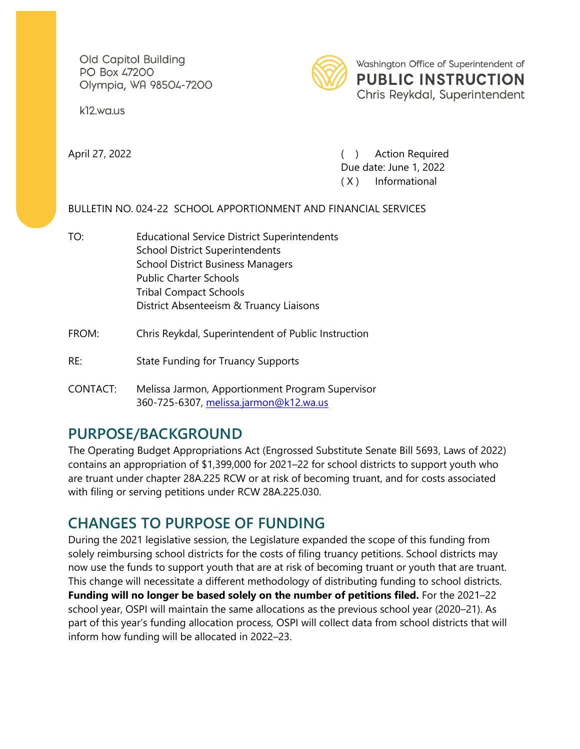Old Capitol Building PO Box 47200 Olympia, WA 98504-7200

k<sub>12</sub>.wa.us



Washington Office of Superintendent of **PUBLIC INSTRUCTION** Chris Reykdal, Superintendent

April 27, 2022 ( ) Action Required Due date: June 1, 2022 ( X ) Informational

#### BULLETIN NO. 024-22 SCHOOL APPORTIONMENT AND FINANCIAL SERVICES

TO: Educational Service District Superintendents School District Superintendents School District Business Managers Public Charter Schools Tribal Compact Schools District Absenteeism & Truancy Liaisons

#### FROM: Chris Reykdal, Superintendent of Public Instruction

- RE: State Funding for Truancy Supports
- CONTACT: Melissa Jarmon, Apportionment Program Supervisor 360-725-6307, [melissa.jarmon@k12.wa.us](mailto:Melissa.jarmon@k12.wa.us?subject=Truancy%20Petitions%202019-20)

# **PURPOSE/BACKGROUND**

The Operating Budget Appropriations Act (Engrossed Substitute Senate Bill 5693, Laws of 2022) contains an appropriation of \$1,399,000 for 2021–22 for school districts to support youth who are truant under chapter 28A.225 RCW or at risk of becoming truant, and for costs associated with filing or serving petitions under RCW 28A.225.030.

## **CHANGES TO PURPOSE OF FUNDING**

During the 2021 legislative session, the Legislature expanded the scope of this funding from solely reimbursing school districts for the costs of filing truancy petitions. School districts may now use the funds to support youth that are at risk of becoming truant or youth that are truant. This change will necessitate a different methodology of distributing funding to school districts. **Funding will no longer be based solely on the number of petitions filed.** For the 2021–22 school year, OSPI will maintain the same allocations as the previous school year (2020–21). As part of this year's funding allocation process, OSPI will collect data from school districts that will inform how funding will be allocated in 2022–23.